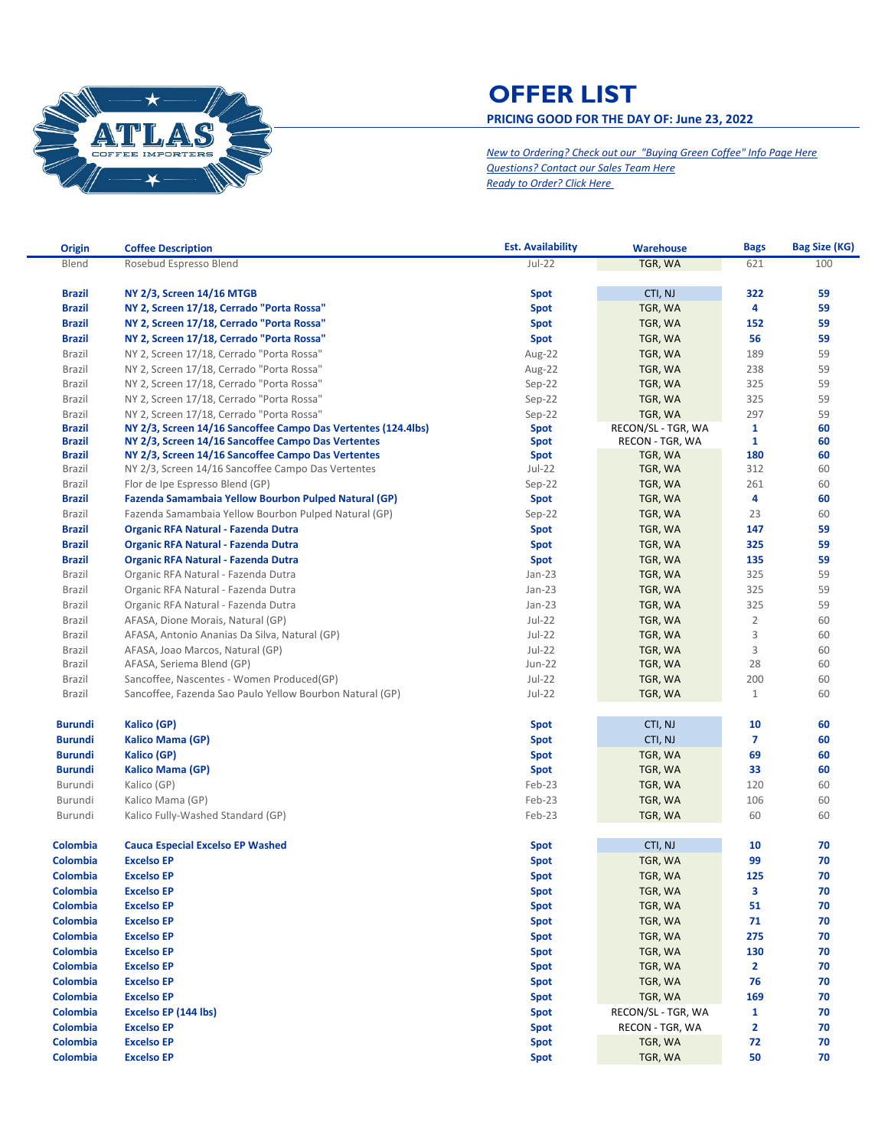

## **OFFER LIST PRICING GOOD FOR THE DAY OF: June 23, 2022**

*New to Ordering? Check out our "Buying Green Coffee" Info Page Here [Questions? Contact our Sales Team Here](mailto:sales.atlas@nkg.coffee?subject=Offer%20List%20Questions) [Ready to Order? Click Here](mailto:customerservice.atlas@nkg.coffee?subject=New%20Order)* 

| <b>Origin</b>  | <b>Coffee Description</b>                                     | <b>Est. Availability</b> | <b>Warehouse</b>   | <b>Bags</b>    | Bag Size (KG) |
|----------------|---------------------------------------------------------------|--------------------------|--------------------|----------------|---------------|
| Blend          | Rosebud Espresso Blend                                        | $Jul-22$                 | TGR, WA            | 621            | 100           |
|                |                                                               |                          |                    |                |               |
| <b>Brazil</b>  | NY 2/3, Screen 14/16 MTGB                                     | <b>Spot</b>              | CTI, NJ            | 322            | 59            |
| <b>Brazil</b>  | NY 2, Screen 17/18, Cerrado "Porta Rossa"                     | <b>Spot</b>              | TGR, WA            | 4              | 59            |
| <b>Brazil</b>  | NY 2, Screen 17/18, Cerrado "Porta Rossa"                     | <b>Spot</b>              | TGR, WA            | 152            | 59            |
| <b>Brazil</b>  | NY 2, Screen 17/18, Cerrado "Porta Rossa"                     | <b>Spot</b>              | TGR, WA            | 56             | 59            |
| Brazil         | NY 2, Screen 17/18, Cerrado "Porta Rossa"                     | Aug-22                   | TGR, WA            | 189            | 59            |
| Brazil         | NY 2, Screen 17/18, Cerrado "Porta Rossa"                     | Aug-22                   | TGR, WA            | 238            | 59            |
| Brazil         | NY 2, Screen 17/18, Cerrado "Porta Rossa"                     | $Sep-22$                 | TGR, WA            | 325            | 59            |
| Brazil         | NY 2, Screen 17/18, Cerrado "Porta Rossa"                     | $Sep-22$                 | TGR, WA            | 325            | 59            |
| Brazil         | NY 2, Screen 17/18, Cerrado "Porta Rossa"                     | $Sep-22$                 | TGR, WA            | 297            | 59            |
| <b>Brazil</b>  | NY 2/3, Screen 14/16 Sancoffee Campo Das Vertentes (124.4lbs) | <b>Spot</b>              | RECON/SL - TGR, WA | $\mathbf{1}$   | 60            |
| <b>Brazil</b>  | NY 2/3, Screen 14/16 Sancoffee Campo Das Vertentes            | Spot                     | RECON - TGR, WA    | $\mathbf{1}$   | 60            |
| <b>Brazil</b>  | NY 2/3, Screen 14/16 Sancoffee Campo Das Vertentes            | <b>Spot</b>              | TGR, WA            | 180            | 60            |
| Brazil         | NY 2/3, Screen 14/16 Sancoffee Campo Das Vertentes            | $Jul-22$                 | TGR, WA            | 312            | 60            |
| Brazil         | Flor de Ipe Espresso Blend (GP)                               | $Sep-22$                 | TGR, WA            | 261            | 60            |
| <b>Brazil</b>  | Fazenda Samambaia Yellow Bourbon Pulped Natural (GP)          | <b>Spot</b>              | TGR, WA            | 4              | 60            |
| Brazil         | Fazenda Samambaia Yellow Bourbon Pulped Natural (GP)          | $Sep-22$                 | TGR, WA            | 23             | 60            |
| <b>Brazil</b>  | <b>Organic RFA Natural - Fazenda Dutra</b>                    | <b>Spot</b>              | TGR, WA            | 147            | 59            |
| <b>Brazil</b>  | <b>Organic RFA Natural - Fazenda Dutra</b>                    | Spot                     | TGR, WA            | 325            | 59            |
| <b>Brazil</b>  | <b>Organic RFA Natural - Fazenda Dutra</b>                    | Spot                     | TGR, WA            | 135            | 59            |
| Brazil         | Organic RFA Natural - Fazenda Dutra                           | $Jan-23$                 | TGR, WA            | 325            | 59            |
| Brazil         | Organic RFA Natural - Fazenda Dutra                           | $Jan-23$                 | TGR, WA            | 325            | 59            |
| Brazil         | Organic RFA Natural - Fazenda Dutra                           | $Jan-23$                 | TGR, WA            | 325            | 59            |
| Brazil         | AFASA, Dione Morais, Natural (GP)                             | Jul-22                   | TGR, WA            | $\overline{2}$ | 60            |
| Brazil         | AFASA, Antonio Ananias Da Silva, Natural (GP)                 | Jul-22                   | TGR, WA            | 3              | 60            |
| Brazil         | AFASA, Joao Marcos, Natural (GP)                              | Jul-22                   | TGR, WA            | 3              | 60            |
| Brazil         | AFASA, Seriema Blend (GP)                                     | <b>Jun-22</b>            | TGR, WA            | 28             | 60            |
| Brazil         | Sancoffee, Nascentes - Women Produced(GP)                     | Jul-22                   | TGR, WA            | 200            | 60            |
| Brazil         | Sancoffee, Fazenda Sao Paulo Yellow Bourbon Natural (GP)      | $Jul-22$                 | TGR, WA            | $\mathbf{1}$   | 60            |
|                |                                                               |                          |                    |                |               |
| <b>Burundi</b> | Kalico (GP)                                                   | <b>Spot</b>              | CTI, NJ            | 10             | 60            |
| <b>Burundi</b> | <b>Kalico Mama (GP)</b>                                       | <b>Spot</b>              | CTI, NJ            | $\overline{7}$ | 60            |
| <b>Burundi</b> | Kalico (GP)                                                   | Spot                     | TGR, WA            | 69             | 60            |
| <b>Burundi</b> | Kalico Mama (GP)                                              | Spot                     | TGR, WA            | 33             | 60            |
| Burundi        | Kalico (GP)                                                   | Feb-23                   | TGR, WA            | 120            | 60            |
| Burundi        | Kalico Mama (GP)                                              | Feb-23                   | TGR, WA            | 106            | 60            |
| Burundi        | Kalico Fully-Washed Standard (GP)                             | Feb-23                   | TGR, WA            | 60             | 60            |
|                |                                                               |                          |                    |                |               |
| Colombia       | <b>Cauca Especial Excelso EP Washed</b>                       | <b>Spot</b>              | CTI, NJ            | 10             | 70            |
| Colombia       | <b>Excelso EP</b>                                             | <b>Spot</b>              | TGR, WA            | 99             | 70            |
| Colombia       | <b>Excelso EP</b>                                             | <b>Spot</b>              | TGR, WA            | 125            | 70            |
| Colombia       | <b>Excelso EP</b>                                             | <b>Spot</b>              | TGR, WA            | З              | 70            |
| Colombia       | <b>Excelso EP</b>                                             | <b>Spot</b>              | TGR, WA            | 51             | 70            |
| Colombia       | <b>Excelso EP</b>                                             | <b>Spot</b>              | TGR, WA            | 71             | 70            |
| Colombia       | <b>Excelso EP</b>                                             | <b>Spot</b>              | TGR, WA            | 275            | 70            |
| Colombia       | <b>Excelso EP</b>                                             | <b>Spot</b>              | TGR, WA            | 130            | 70            |
| Colombia       | <b>Excelso EP</b>                                             | <b>Spot</b>              | TGR, WA            | 2              | 70            |
| Colombia       | <b>Excelso EP</b>                                             | <b>Spot</b>              | TGR, WA            | 76             | 70            |
|                |                                                               |                          |                    |                |               |
| Colombia       | <b>Excelso EP</b>                                             | <b>Spot</b>              | TGR, WA            | 169            | 70            |
| Colombia       | Excelso EP (144 lbs)                                          | <b>Spot</b>              | RECON/SL - TGR, WA | $\mathbf{1}$   | 70            |
| Colombia       | <b>Excelso EP</b>                                             | <b>Spot</b>              | RECON - TGR, WA    | 2              | 70            |
| Colombia       | <b>Excelso EP</b>                                             | <b>Spot</b>              | TGR, WA            | 72             | 70            |
| Colombia       | <b>Excelso EP</b>                                             | <b>Spot</b>              | TGR, WA            | 50             | 70            |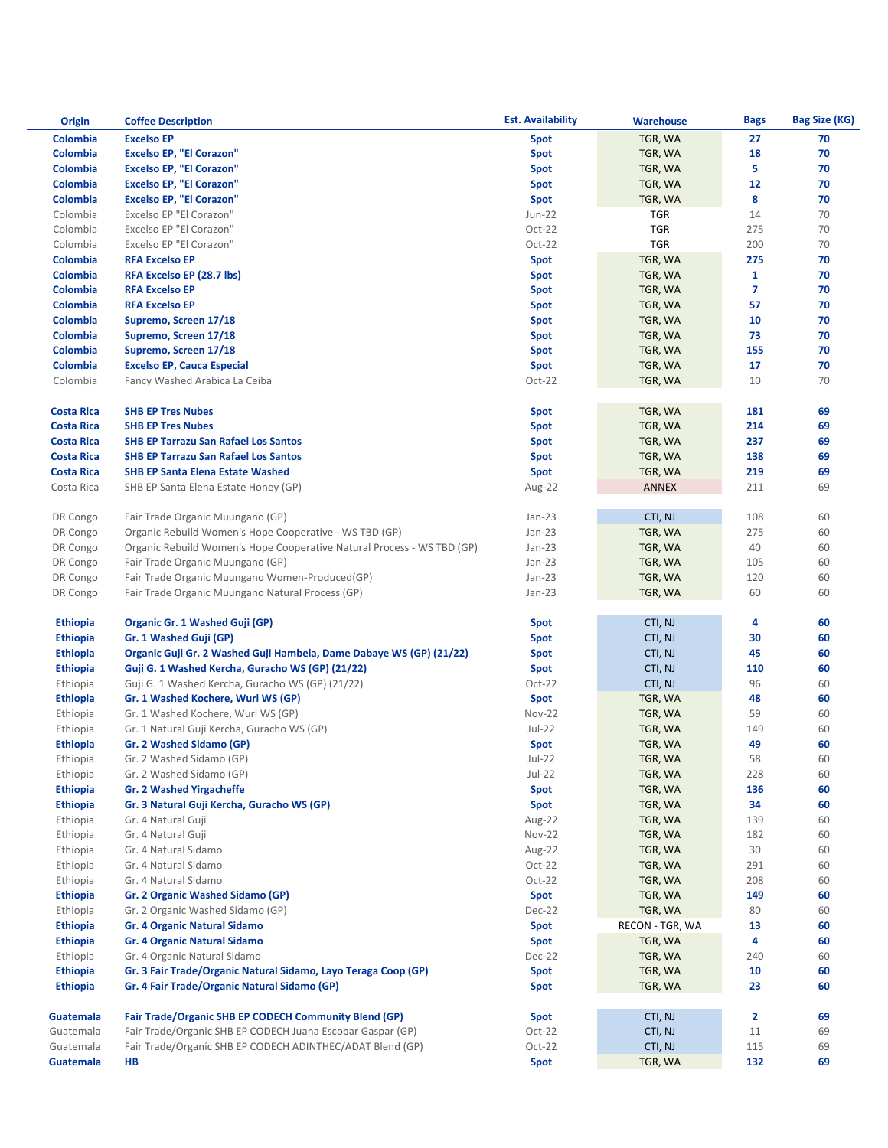| <b>Origin</b>     | <b>Coffee Description</b>                                              | <b>Est. Availability</b> | <b>Warehouse</b>   | <b>Bags</b>  | <b>Bag Size (KG)</b> |
|-------------------|------------------------------------------------------------------------|--------------------------|--------------------|--------------|----------------------|
| Colombia          | <b>Excelso EP</b>                                                      | <b>Spot</b>              | TGR, WA            | 27           | 70                   |
| Colombia          | <b>Excelso EP, "El Corazon"</b>                                        | <b>Spot</b>              | TGR, WA            | 18           | 70                   |
| Colombia          | <b>Excelso EP, "El Corazon"</b>                                        | <b>Spot</b>              | TGR, WA            | 5            | 70                   |
| Colombia          | <b>Excelso EP, "El Corazon"</b>                                        | <b>Spot</b>              | TGR, WA            | 12           | 70                   |
| Colombia          | <b>Excelso EP, "El Corazon"</b>                                        | <b>Spot</b>              | TGR, WA            | 8            | 70                   |
| Colombia          | Excelso EP "El Corazon"                                                | <b>Jun-22</b>            | <b>TGR</b>         | 14           | 70                   |
| Colombia          | Excelso EP "El Corazon"                                                | Oct-22                   | <b>TGR</b>         | 275          | 70                   |
| Colombia          | Excelso EP "El Corazon"                                                | Oct-22                   | <b>TGR</b>         | 200          | 70                   |
| Colombia          | <b>RFA Excelso EP</b>                                                  | <b>Spot</b>              | TGR, WA            | 275          | 70                   |
| Colombia          | RFA Excelso EP (28.7 lbs)                                              | <b>Spot</b>              | TGR, WA            | $\mathbf{1}$ | 70                   |
| Colombia          | <b>RFA Excelso EP</b>                                                  | <b>Spot</b>              | TGR, WA            | 7            | 70                   |
| Colombia          | <b>RFA Excelso EP</b>                                                  | Spot                     | TGR, WA            | 57           | 70                   |
| Colombia          | Supremo, Screen 17/18                                                  | <b>Spot</b>              | TGR, WA            | 10           | 70                   |
| Colombia          | Supremo, Screen 17/18                                                  | Spot                     | TGR, WA            | 73           | 70                   |
| Colombia          | Supremo, Screen 17/18                                                  | <b>Spot</b>              | TGR, WA            | 155          | 70                   |
| Colombia          | <b>Excelso EP, Cauca Especial</b>                                      | Spot                     | TGR, WA            | 17           | 70                   |
| Colombia          | Fancy Washed Arabica La Ceiba                                          | $Oct-22$                 | TGR, WA            | 10           | 70                   |
|                   |                                                                        |                          |                    |              |                      |
| <b>Costa Rica</b> | <b>SHB EP Tres Nubes</b>                                               | <b>Spot</b>              | TGR, WA            | 181          | 69                   |
| <b>Costa Rica</b> | <b>SHB EP Tres Nubes</b>                                               | <b>Spot</b>              | TGR, WA            | 214          | 69                   |
| <b>Costa Rica</b> | <b>SHB EP Tarrazu San Rafael Los Santos</b>                            | <b>Spot</b>              | TGR, WA            | 237          | 69                   |
| <b>Costa Rica</b> | <b>SHB EP Tarrazu San Rafael Los Santos</b>                            | <b>Spot</b>              | TGR, WA            | 138          | 69                   |
| <b>Costa Rica</b> | <b>SHB EP Santa Elena Estate Washed</b>                                | <b>Spot</b>              | TGR, WA            | 219          | 69                   |
| Costa Rica        | SHB EP Santa Elena Estate Honey (GP)                                   | Aug-22                   | <b>ANNEX</b>       | 211          | 69                   |
|                   |                                                                        |                          |                    |              |                      |
| DR Congo          | Fair Trade Organic Muungano (GP)                                       | $Jan-23$                 | CTI, NJ            | 108          | 60                   |
| DR Congo          | Organic Rebuild Women's Hope Cooperative - WS TBD (GP)                 | $Jan-23$                 | TGR, WA            | 275          | 60                   |
| DR Congo          | Organic Rebuild Women's Hope Cooperative Natural Process - WS TBD (GP) | $Jan-23$                 | TGR, WA            | 40           | 60                   |
| DR Congo          | Fair Trade Organic Muungano (GP)                                       | $Jan-23$                 | TGR, WA            | 105          | 60                   |
| DR Congo          | Fair Trade Organic Muungano Women-Produced(GP)                         | $Jan-23$                 |                    | 120          | 60                   |
| DR Congo          | Fair Trade Organic Muungano Natural Process (GP)                       | $Jan-23$                 | TGR, WA<br>TGR, WA | 60           | 60                   |
|                   |                                                                        |                          |                    |              |                      |
| <b>Ethiopia</b>   | Organic Gr. 1 Washed Guji (GP)                                         | Spot                     | CTI, NJ            | 4            | 60                   |
| <b>Ethiopia</b>   | Gr. 1 Washed Guji (GP)                                                 | Spot                     | CTI, NJ            | 30           | 60                   |
| <b>Ethiopia</b>   | Organic Guji Gr. 2 Washed Guji Hambela, Dame Dabaye WS (GP) (21/22)    | Spot                     | CTI, NJ            | 45           | 60                   |
| <b>Ethiopia</b>   | Guji G. 1 Washed Kercha, Guracho WS (GP) (21/22)                       | <b>Spot</b>              | CTI, NJ            | 110          | 60                   |
| Ethiopia          | Guji G. 1 Washed Kercha, Guracho WS (GP) (21/22)                       | Oct-22                   | CTI, NJ            | 96           | 60                   |
| <b>Ethiopia</b>   | Gr. 1 Washed Kochere, Wuri WS (GP)                                     | <b>Spot</b>              | TGR, WA            | 48           | 60                   |
| Ethiopia          | Gr. 1 Washed Kochere, Wuri WS (GP)                                     | <b>Nov-22</b>            | TGR, WA            | 59           | 60                   |
| Ethiopia          | Gr. 1 Natural Guji Kercha, Guracho WS (GP)                             | $Jul-22$                 | TGR, WA            | 149          | 60                   |
|                   | Gr. 2 Washed Sidamo (GP)                                               |                          |                    | 49           | 60                   |
| <b>Ethiopia</b>   |                                                                        | <b>Spot</b>              | TGR, WA            |              | 60                   |
| Ethiopia          | Gr. 2 Washed Sidamo (GP)                                               | $Jul-22$                 | TGR, WA            | 58           |                      |
| Ethiopia          | Gr. 2 Washed Sidamo (GP)                                               | $Jul-22$                 | TGR, WA<br>TGR, WA | 228<br>136   | 60<br>60             |
| <b>Ethiopia</b>   | <b>Gr. 2 Washed Yirgacheffe</b>                                        | <b>Spot</b>              |                    | 34           | 60                   |
| <b>Ethiopia</b>   | Gr. 3 Natural Guji Kercha, Guracho WS (GP)                             | <b>Spot</b>              | TGR, WA            |              |                      |
| Ethiopia          | Gr. 4 Natural Guji                                                     | Aug-22                   | TGR, WA            | 139          | 60                   |
| Ethiopia          | Gr. 4 Natural Guji                                                     | Nov-22                   | TGR, WA            | 182<br>30    | 60<br>60             |
| Ethiopia          | Gr. 4 Natural Sidamo                                                   | Aug-22                   | TGR, WA            |              |                      |
| Ethiopia          | Gr. 4 Natural Sidamo                                                   | $Oct-22$                 | TGR, WA            | 291          | 60                   |
| Ethiopia          | Gr. 4 Natural Sidamo                                                   | $Oct-22$                 | TGR, WA            | 208          | 60                   |
| <b>Ethiopia</b>   | Gr. 2 Organic Washed Sidamo (GP)                                       | <b>Spot</b>              | TGR, WA            | 149          | 60                   |
| Ethiopia          | Gr. 2 Organic Washed Sidamo (GP)                                       | Dec-22                   | TGR, WA            | 80           | 60                   |
| <b>Ethiopia</b>   | <b>Gr. 4 Organic Natural Sidamo</b>                                    | <b>Spot</b>              | RECON - TGR, WA    | 13           | 60                   |
| <b>Ethiopia</b>   | <b>Gr. 4 Organic Natural Sidamo</b>                                    | <b>Spot</b>              | TGR, WA            | 4            | 60                   |
| Ethiopia          | Gr. 4 Organic Natural Sidamo                                           | Dec-22                   | TGR, WA            | 240          | 60                   |
| <b>Ethiopia</b>   | Gr. 3 Fair Trade/Organic Natural Sidamo, Layo Teraga Coop (GP)         | <b>Spot</b>              | TGR, WA            | 10           | 60                   |
| <b>Ethiopia</b>   | Gr. 4 Fair Trade/Organic Natural Sidamo (GP)                           | <b>Spot</b>              | TGR, WA            | 23           | 60                   |
|                   |                                                                        |                          |                    |              |                      |
| <b>Guatemala</b>  | <b>Fair Trade/Organic SHB EP CODECH Community Blend (GP)</b>           | Spot                     | CTI, NJ            | 2            | 69                   |
| Guatemala         | Fair Trade/Organic SHB EP CODECH Juana Escobar Gaspar (GP)             | $Oct-22$                 | CTI, NJ            | 11           | 69                   |
| Guatemala         | Fair Trade/Organic SHB EP CODECH ADINTHEC/ADAT Blend (GP)              | $Oct-22$                 | CTI, NJ            | 115          | 69                   |
| <b>Guatemala</b>  | HB                                                                     | <b>Spot</b>              | TGR, WA            | 132          | 69                   |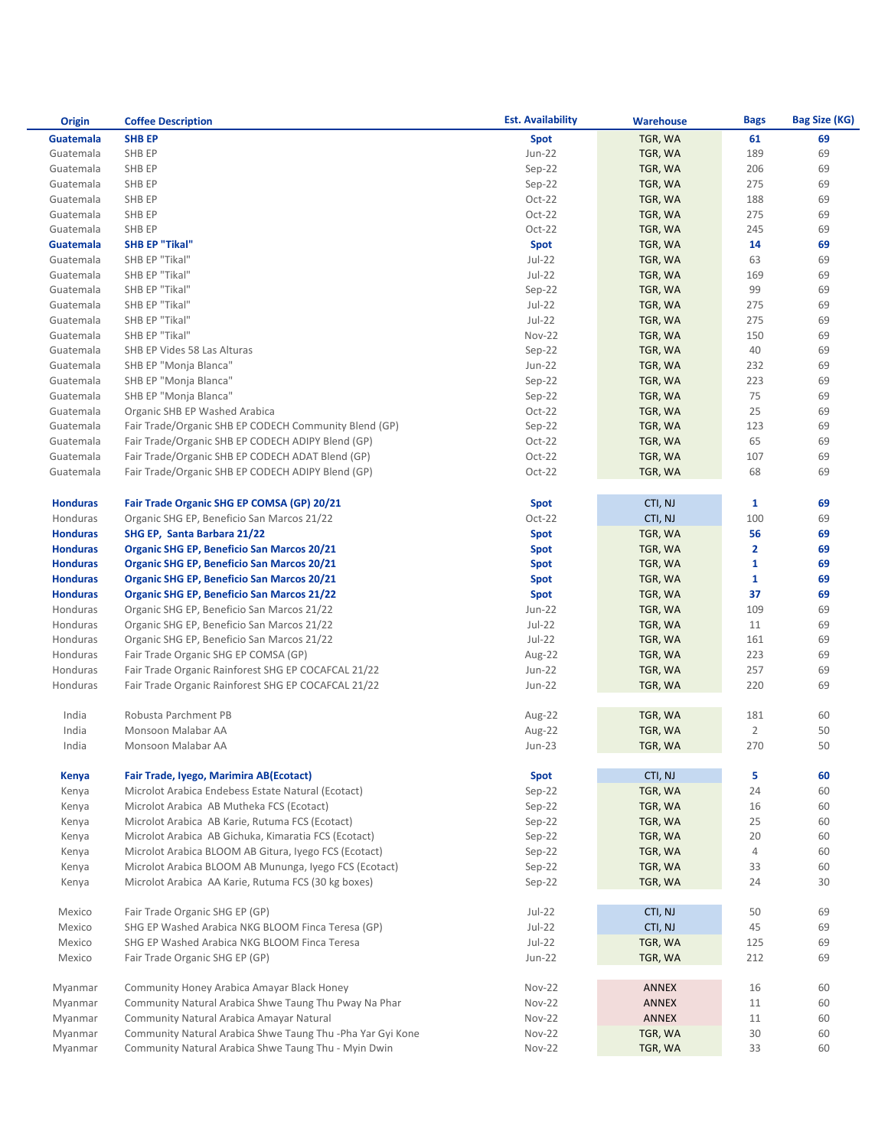| <b>Origin</b>   | <b>Coffee Description</b>                                  | <b>Est. Availability</b> | <b>Warehouse</b> | <b>Bags</b>    | <b>Bag Size (KG)</b> |
|-----------------|------------------------------------------------------------|--------------------------|------------------|----------------|----------------------|
| Guatemala       | <b>SHB EP</b>                                              | Spot                     | TGR, WA          | 61             | 69                   |
| Guatemala       | SHB EP                                                     | <b>Jun-22</b>            | TGR, WA          | 189            | 69                   |
| Guatemala       | SHB EP                                                     | $Sep-22$                 | TGR, WA          | 206            | 69                   |
| Guatemala       | SHB EP                                                     | $Sep-22$                 | TGR, WA          | 275            | 69                   |
| Guatemala       | SHB EP                                                     | $Oct-22$                 | TGR, WA          | 188            | 69                   |
| Guatemala       | SHB EP                                                     | $Oct-22$                 | TGR, WA          | 275            | 69                   |
| Guatemala       | SHB EP                                                     | $Oct-22$                 | TGR, WA          | 245            | 69                   |
| Guatemala       | <b>SHB EP "Tikal"</b>                                      | <b>Spot</b>              | TGR, WA          | 14             | 69                   |
| Guatemala       | SHB EP "Tikal"                                             | $Jul-22$                 | TGR, WA          | 63             | 69                   |
| Guatemala       | SHB EP "Tikal"                                             | $Jul-22$                 | TGR, WA          | 169            | 69                   |
| Guatemala       | SHB EP "Tikal"                                             | $Sep-22$                 | TGR, WA          | 99             | 69                   |
| Guatemala       | SHB EP "Tikal"                                             | $Jul-22$                 | TGR, WA          | 275            | 69                   |
| Guatemala       | SHB EP "Tikal"                                             | $Jul-22$                 | TGR, WA          | 275            | 69                   |
| Guatemala       | SHB EP "Tikal"                                             | Nov-22                   | TGR, WA          | 150            | 69                   |
| Guatemala       | SHB EP Vides 58 Las Alturas                                | Sep-22                   | TGR, WA          | 40             | 69                   |
| Guatemala       | SHB EP "Monja Blanca"                                      | Jun-22                   | TGR, WA          | 232            | 69                   |
| Guatemala       | SHB EP "Monja Blanca"                                      | Sep-22                   | TGR, WA          | 223            | 69                   |
| Guatemala       | SHB EP "Monja Blanca"                                      | $Sep-22$                 | TGR, WA          | 75             | 69                   |
| Guatemala       | Organic SHB EP Washed Arabica                              | $Oct-22$                 | TGR, WA          | 25             | 69                   |
| Guatemala       | Fair Trade/Organic SHB EP CODECH Community Blend (GP)      | $Sep-22$                 | TGR, WA          | 123            | 69                   |
| Guatemala       | Fair Trade/Organic SHB EP CODECH ADIPY Blend (GP)          | $Oct-22$                 | TGR, WA          | 65             | 69                   |
| Guatemala       | Fair Trade/Organic SHB EP CODECH ADAT Blend (GP)           | $Oct-22$                 | TGR, WA          | 107            | 69                   |
| Guatemala       | Fair Trade/Organic SHB EP CODECH ADIPY Blend (GP)          | $Oct-22$                 | TGR, WA          | 68             | 69                   |
|                 |                                                            |                          |                  |                |                      |
| <b>Honduras</b> | Fair Trade Organic SHG EP COMSA (GP) 20/21                 | <b>Spot</b>              | CTI, NJ          | 1              | 69                   |
| Honduras        | Organic SHG EP, Beneficio San Marcos 21/22                 | $Oct-22$                 | CTI, NJ          | 100            | 69                   |
| <b>Honduras</b> | SHG EP, Santa Barbara 21/22                                | <b>Spot</b>              | TGR, WA          | 56             | 69                   |
| <b>Honduras</b> | <b>Organic SHG EP, Beneficio San Marcos 20/21</b>          | <b>Spot</b>              | TGR, WA          | 2              | 69                   |
| <b>Honduras</b> | <b>Organic SHG EP, Beneficio San Marcos 20/21</b>          | <b>Spot</b>              | TGR, WA          | $\mathbf{1}$   | 69                   |
| <b>Honduras</b> | <b>Organic SHG EP, Beneficio San Marcos 20/21</b>          | <b>Spot</b>              | TGR, WA          | 1              | 69                   |
| <b>Honduras</b> | <b>Organic SHG EP, Beneficio San Marcos 21/22</b>          | <b>Spot</b>              | TGR, WA          | 37             | 69                   |
| Honduras        | Organic SHG EP, Beneficio San Marcos 21/22                 | <b>Jun-22</b>            | TGR, WA          | 109            | 69                   |
| Honduras        | Organic SHG EP, Beneficio San Marcos 21/22                 | $Jul-22$                 | TGR, WA          | 11             | 69                   |
| Honduras        | Organic SHG EP, Beneficio San Marcos 21/22                 | $Jul-22$                 | TGR, WA          | 161            | 69                   |
| Honduras        | Fair Trade Organic SHG EP COMSA (GP)                       | Aug-22                   | TGR, WA          | 223            | 69                   |
| Honduras        | Fair Trade Organic Rainforest SHG EP COCAFCAL 21/22        | Jun-22                   | TGR, WA          | 257            | 69                   |
| Honduras        | Fair Trade Organic Rainforest SHG EP COCAFCAL 21/22        | Jun-22                   | TGR, WA          | 220            | 69                   |
|                 |                                                            |                          |                  |                |                      |
| India           | Robusta Parchment PB                                       | Aug-22                   | TGR, WA          | 181            | 60                   |
| India           | Monsoon Malabar AA                                         | Aug-22                   | TGR, WA          | $\overline{2}$ | 50                   |
| India           | Monsoon Malabar AA                                         | <b>Jun-23</b>            | TGR, WA          | 270            | 50                   |
| <b>Kenya</b>    | Fair Trade, Iyego, Marimira AB(Ecotact)                    | <b>Spot</b>              | CTI, NJ          | 5              | 60                   |
| Kenya           | Microlot Arabica Endebess Estate Natural (Ecotact)         | Sep-22                   | TGR, WA          | 24             | 60                   |
| Kenya           | Microlot Arabica AB Mutheka FCS (Ecotact)                  | $Sep-22$                 | TGR, WA          | 16             | 60                   |
| Kenya           | Microlot Arabica AB Karie, Rutuma FCS (Ecotact)            | $Sep-22$                 | TGR, WA          | 25             | 60                   |
| Kenya           | Microlot Arabica AB Gichuka, Kimaratia FCS (Ecotact)       | $Sep-22$                 | TGR, WA          | 20             | 60                   |
| Kenya           | Microlot Arabica BLOOM AB Gitura, Iyego FCS (Ecotact)      | $Sep-22$                 | TGR, WA          | 4              | 60                   |
| Kenya           | Microlot Arabica BLOOM AB Mununga, Iyego FCS (Ecotact)     | $Sep-22$                 | TGR, WA          | 33             | 60                   |
| Kenya           | Microlot Arabica AA Karie, Rutuma FCS (30 kg boxes)        | $Sep-22$                 | TGR, WA          | 24             | 30                   |
|                 |                                                            |                          |                  |                |                      |
| Mexico          | Fair Trade Organic SHG EP (GP)                             | $Jul-22$                 | CTI, NJ          | 50             | 69                   |
| Mexico          | SHG EP Washed Arabica NKG BLOOM Finca Teresa (GP)          | $Jul-22$                 | CTI, NJ          | 45             | 69                   |
| Mexico          | SHG EP Washed Arabica NKG BLOOM Finca Teresa               | $Jul-22$                 | TGR, WA          | 125            | 69                   |
| Mexico          | Fair Trade Organic SHG EP (GP)                             | Jun-22                   | TGR, WA          | 212            | 69                   |
|                 |                                                            |                          |                  |                |                      |
| Myanmar         | Community Honey Arabica Amayar Black Honey                 | <b>Nov-22</b>            | ANNEX            | 16             | 60                   |
| Myanmar         | Community Natural Arabica Shwe Taung Thu Pway Na Phar      | Nov-22                   | ANNEX            | 11             | 60                   |
| Myanmar         | Community Natural Arabica Amayar Natural                   | Nov-22                   | <b>ANNEX</b>     | 11             | 60                   |
| Myanmar         | Community Natural Arabica Shwe Taung Thu -Pha Yar Gyi Kone | Nov-22                   | TGR, WA          | 30             | 60                   |
| Myanmar         | Community Natural Arabica Shwe Taung Thu - Myin Dwin       | Nov-22                   | TGR, WA          | 33             | 60                   |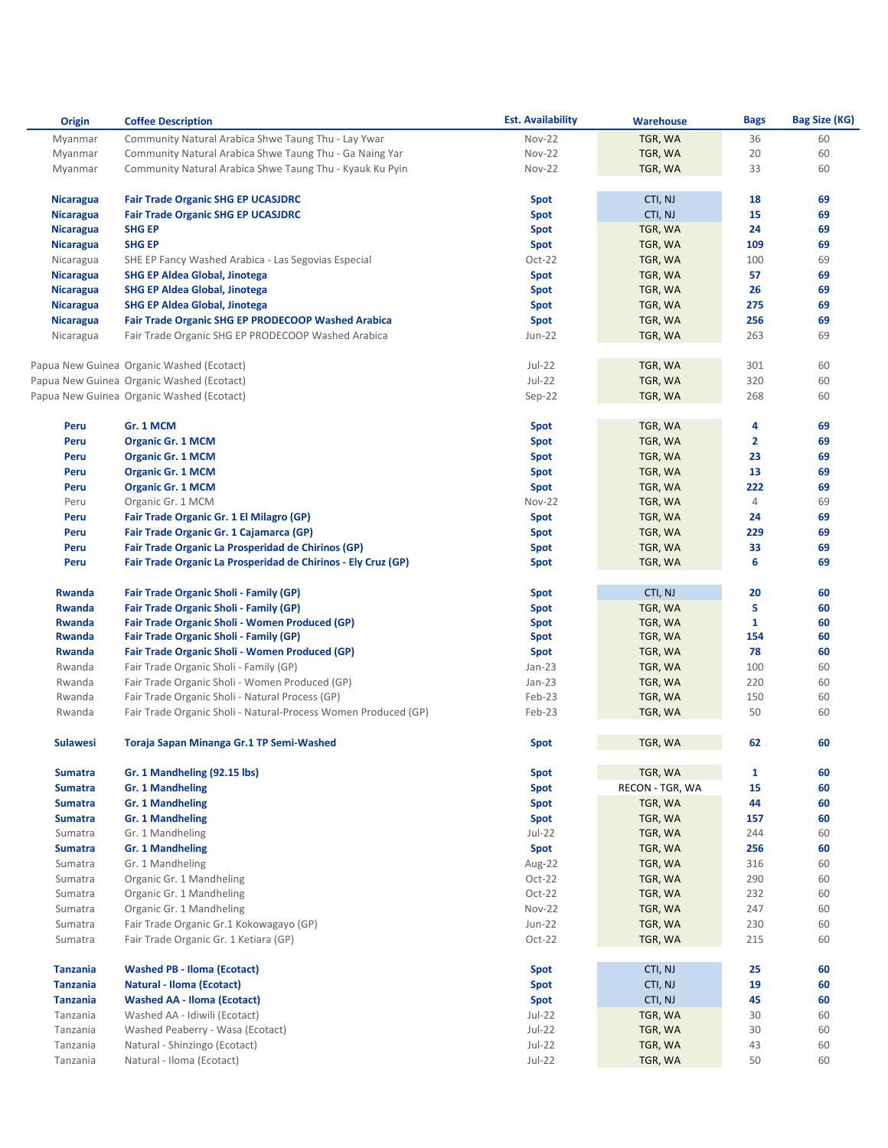| <b>Origin</b>    | <b>Coffee Description</b>                                      | <b>Est. Availability</b> | <b>Warehouse</b> | <b>Bags</b>    | Bag Size (KG) |
|------------------|----------------------------------------------------------------|--------------------------|------------------|----------------|---------------|
| Myanmar          | Community Natural Arabica Shwe Taung Thu - Lay Ywar            | <b>Nov-22</b>            | TGR, WA          | 36             | 60            |
| Myanmar          | Community Natural Arabica Shwe Taung Thu - Ga Naing Yar        | <b>Nov-22</b>            | TGR, WA          | 20             | 60            |
| Myanmar          | Community Natural Arabica Shwe Taung Thu - Kyauk Ku Pyin       | <b>Nov-22</b>            | TGR, WA          | 33             | 60            |
|                  |                                                                |                          |                  |                |               |
| <b>Nicaragua</b> | <b>Fair Trade Organic SHG EP UCASJDRC</b>                      | Spot                     | CTI, NJ          | 18             | 69            |
| <b>Nicaragua</b> | <b>Fair Trade Organic SHG EP UCASJDRC</b>                      | <b>Spot</b>              | CTI, NJ          | 15             | 69            |
| <b>Nicaragua</b> | <b>SHG EP</b>                                                  | <b>Spot</b>              | TGR, WA          | 24             | 69            |
| <b>Nicaragua</b> | <b>SHG EP</b>                                                  | <b>Spot</b>              | TGR, WA          | 109            | 69            |
| Nicaragua        | SHE EP Fancy Washed Arabica - Las Segovias Especial            | $Oct-22$                 | TGR, WA          | 100            | 69            |
| <b>Nicaragua</b> | <b>SHG EP Aldea Global, Jinotega</b>                           | <b>Spot</b>              | TGR, WA          | 57             | 69            |
| <b>Nicaragua</b> | <b>SHG EP Aldea Global, Jinotega</b>                           | <b>Spot</b>              | TGR, WA          | 26             | 69            |
| <b>Nicaragua</b> | <b>SHG EP Aldea Global, Jinotega</b>                           | Spot                     | TGR, WA          | 275            | 69            |
|                  | <b>Fair Trade Organic SHG EP PRODECOOP Washed Arabica</b>      |                          |                  | 256            | 69            |
| <b>Nicaragua</b> | Fair Trade Organic SHG EP PRODECOOP Washed Arabica             | Spot<br><b>Jun-22</b>    | TGR, WA          | 263            | 69            |
| Nicaragua        |                                                                |                          | TGR, WA          |                |               |
|                  |                                                                | Jul-22                   |                  | 301            | 60            |
|                  | Papua New Guinea Organic Washed (Ecotact)                      | $Jul-22$                 | TGR, WA          |                |               |
|                  | Papua New Guinea Organic Washed (Ecotact)                      |                          | TGR, WA          | 320            | 60            |
|                  | Papua New Guinea Organic Washed (Ecotact)                      | $Sep-22$                 | TGR, WA          | 268            | 60            |
|                  |                                                                |                          |                  |                |               |
| Peru             | Gr. 1 MCM                                                      | Spot                     | TGR, WA          | 4              | 69            |
| Peru             | <b>Organic Gr. 1 MCM</b>                                       | Spot                     | TGR, WA          | $\overline{2}$ | 69            |
| Peru             | <b>Organic Gr. 1 MCM</b>                                       | Spot                     | TGR, WA          | 23             | 69            |
| Peru             | <b>Organic Gr. 1 MCM</b>                                       | Spot                     | TGR, WA          | 13             | 69            |
| Peru             | <b>Organic Gr. 1 MCM</b>                                       | Spot                     | TGR, WA          | 222            | 69            |
| Peru             | Organic Gr. 1 MCM                                              | <b>Nov-22</b>            | TGR, WA          | 4              | 69            |
| Peru             | Fair Trade Organic Gr. 1 El Milagro (GP)                       | Spot                     | TGR, WA          | 24             | 69            |
| Peru             | Fair Trade Organic Gr. 1 Cajamarca (GP)                        | <b>Spot</b>              | TGR, WA          | 229            | 69            |
| Peru             | Fair Trade Organic La Prosperidad de Chirinos (GP)             | <b>Spot</b>              | TGR, WA          | 33             | 69            |
| Peru             | Fair Trade Organic La Prosperidad de Chirinos - Ely Cruz (GP)  | <b>Spot</b>              | TGR, WA          | 6              | 69            |
|                  |                                                                |                          |                  |                |               |
| <b>Rwanda</b>    | <b>Fair Trade Organic Sholi - Family (GP)</b>                  | Spot                     | CTI, NJ          | 20             | 60            |
| <b>Rwanda</b>    | <b>Fair Trade Organic Sholi - Family (GP)</b>                  | <b>Spot</b>              | TGR, WA          | 5              | 60            |
| Rwanda           | Fair Trade Organic Sholi - Women Produced (GP)                 | <b>Spot</b>              | TGR, WA          | 1              | 60            |
| <b>Rwanda</b>    | <b>Fair Trade Organic Sholi - Family (GP)</b>                  | Spot                     | TGR, WA          | 154            | 60            |
| <b>Rwanda</b>    | <b>Fair Trade Organic Sholi - Women Produced (GP)</b>          | Spot                     | TGR, WA          | 78             | 60            |
| Rwanda           | Fair Trade Organic Sholi - Family (GP)                         | $Jan-23$                 | TGR, WA          | 100            | 60            |
| Rwanda           | Fair Trade Organic Sholi - Women Produced (GP)                 | $Jan-23$                 | TGR, WA          | 220            | 60            |
| Rwanda           | Fair Trade Organic Sholi - Natural Process (GP)                | Feb-23                   | TGR, WA          | 150            | 60            |
| Rwanda           | Fair Trade Organic Sholi - Natural-Process Women Produced (GP) | Feb-23                   | TGR, WA          | 50             | 60            |
|                  |                                                                |                          |                  |                |               |
| <b>Sulawesi</b>  | Toraja Sapan Minanga Gr.1 TP Semi-Washed                       | <b>Spot</b>              | TGR, WA          | 62             | 60            |
|                  |                                                                |                          |                  |                |               |
| <b>Sumatra</b>   | Gr. 1 Mandheling (92.15 lbs)                                   | <b>Spot</b>              | TGR, WA          | $\mathbf{1}$   | 60            |
| <b>Sumatra</b>   | <b>Gr. 1 Mandheling</b>                                        | <b>Spot</b>              | RECON - TGR, WA  | 15             | 60            |
| <b>Sumatra</b>   | <b>Gr. 1 Mandheling</b>                                        | Spot                     | TGR, WA          | 44             | 60            |
| <b>Sumatra</b>   | <b>Gr. 1 Mandheling</b>                                        | <b>Spot</b>              | TGR, WA          | 157            | 60            |
| Sumatra          | Gr. 1 Mandheling                                               | $Jul-22$                 | TGR, WA          | 244            | 60            |
| <b>Sumatra</b>   | <b>Gr. 1 Mandheling</b>                                        | <b>Spot</b>              | TGR, WA          | 256            | 60            |
| Sumatra          | Gr. 1 Mandheling                                               | Aug-22                   | TGR, WA          | 316            | 60            |
| Sumatra          | Organic Gr. 1 Mandheling                                       | $Oct-22$                 | TGR, WA          | 290            | 60            |
| Sumatra          | Organic Gr. 1 Mandheling                                       | Oct-22                   | TGR, WA          | 232            | 60            |
| Sumatra          | Organic Gr. 1 Mandheling                                       | Nov-22                   | TGR, WA          | 247            | 60            |
|                  | Fair Trade Organic Gr.1 Kokowagayo (GP)                        | Jun-22                   | TGR, WA          | 230            | 60            |
| Sumatra          | Fair Trade Organic Gr. 1 Ketiara (GP)                          | Oct-22                   |                  | 215            | 60            |
| Sumatra          |                                                                |                          | TGR, WA          |                |               |
|                  |                                                                |                          |                  |                |               |
| <b>Tanzania</b>  | <b>Washed PB - Iloma (Ecotact)</b>                             | Spot                     | CTI, NJ          | 25             | 60            |
| <b>Tanzania</b>  | <b>Natural - Iloma (Ecotact)</b>                               | Spot                     | CTI, NJ          | 19             | 60            |
| <b>Tanzania</b>  | <b>Washed AA - Iloma (Ecotact)</b>                             | Spot                     | CTI, NJ          | 45             | 60            |
| Tanzania         | Washed AA - Idiwili (Ecotact)                                  | $Jul-22$                 | TGR, WA          | 30             | 60            |
| Tanzania         | Washed Peaberry - Wasa (Ecotact)                               | $Jul-22$                 | TGR, WA          | 30             | 60            |
| Tanzania         | Natural - Shinzingo (Ecotact)                                  | $Jul-22$                 | TGR, WA          | 43             | 60            |
| Tanzania         | Natural - Iloma (Ecotact)                                      | $Jul-22$                 | TGR, WA          | 50             | 60            |